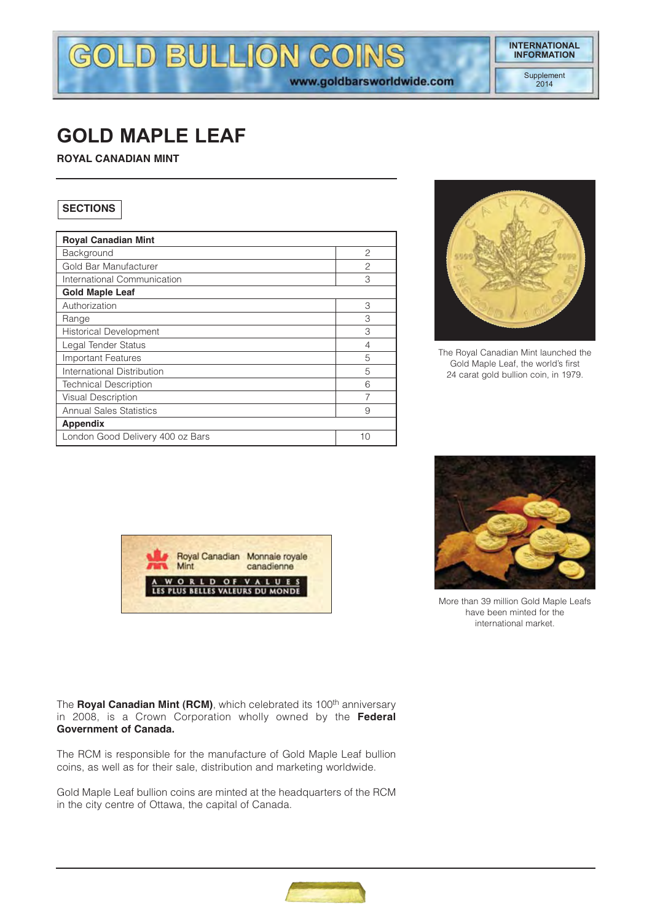# GOLD BULLION COINS www.goldbarsworldwide.com

Supplement 2014

# **GOLD MAPLE LEAF**

**ROYAL CANADIAN MINT**

# **SECTIONS**

| <b>Royal Canadian Mint</b>       |                |
|----------------------------------|----------------|
| Background                       | 2              |
| Gold Bar Manufacturer            | $\overline{c}$ |
| International Communication      | 3              |
| <b>Gold Maple Leaf</b>           |                |
| Authorization                    | 3              |
| Range                            | 3              |
| <b>Historical Development</b>    | 3              |
| Legal Tender Status              | 4              |
| <b>Important Features</b>        | 5              |
| International Distribution       | 5              |
| <b>Technical Description</b>     | 6              |
| Visual Description               | 7              |
| <b>Annual Sales Statistics</b>   | 9              |
| <b>Appendix</b>                  |                |
| London Good Delivery 400 oz Bars | 10             |



The Royal Canadian Mint launched the Gold Maple Leaf, the world's first 24 carat gold bullion coin, in 1979.





More than 39 million Gold Maple Leafs have been minted for the international market.

The **Royal Canadian Mint (RCM)**, which celebrated its 100<sup>th</sup> anniversary in 2008, is a Crown Corporation wholly owned by the **Federal Government of Canada.**

The RCM is responsible for the manufacture of Gold Maple Leaf bullion coins, as well as for their sale, distribution and marketing worldwide.

Gold Maple Leaf bullion coins are minted at the headquarters of the RCM in the city centre of Ottawa, the capital of Canada.

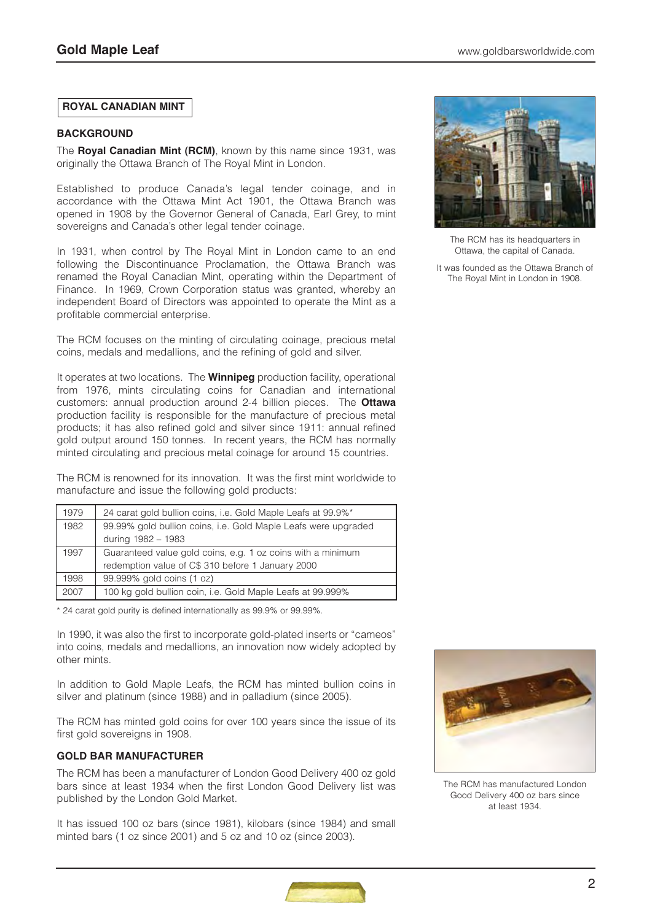# **ROYAL CANADIAN MINT**

#### **BACKGROUND**

The **Royal Canadian Mint (RCM)**, known by this name since 1931, was originally the Ottawa Branch of The Royal Mint in London.

Established to produce Canada's legal tender coinage, and in accordance with the Ottawa Mint Act 1901, the Ottawa Branch was opened in 1908 by the Governor General of Canada, Earl Grey, to mint sovereigns and Canada's other legal tender coinage.

In 1931, when control by The Royal Mint in London came to an end following the Discontinuance Proclamation, the Ottawa Branch was renamed the Royal Canadian Mint, operating within the Department of Finance. In 1969, Crown Corporation status was granted, whereby an independent Board of Directors was appointed to operate the Mint as a profitable commercial enterprise.

The RCM focuses on the minting of circulating coinage, precious metal coins, medals and medallions, and the refining of gold and silver.

It operates at two locations. The **Winnipeg** production facility, operational from 1976, mints circulating coins for Canadian and international customers: annual production around 2-4 billion pieces. The **Ottawa** production facility is responsible for the manufacture of precious metal products; it has also refined gold and silver since 1911: annual refined gold output around 150 tonnes. In recent years, the RCM has normally minted circulating and precious metal coinage for around 15 countries.

The RCM is renowned for its innovation. It was the first mint worldwide to manufacture and issue the following gold products:

| 1979 | 24 carat gold bullion coins, i.e. Gold Maple Leafs at 99.9%*   |
|------|----------------------------------------------------------------|
| 1982 | 99.99% gold bullion coins, i.e. Gold Maple Leafs were upgraded |
|      | during 1982 - 1983                                             |
| 1997 | Guaranteed value gold coins, e.g. 1 oz coins with a minimum    |
|      | redemption value of C\$ 310 before 1 January 2000              |
| 1998 | 99.999% gold coins (1 oz)                                      |
| 2007 | 100 kg gold bullion coin, i.e. Gold Maple Leafs at 99.999%     |

\* 24 carat gold purity is defined internationally as 99.9% or 99.99%.

In 1990, it was also the first to incorporate gold-plated inserts or "cameos" into coins, medals and medallions, an innovation now widely adopted by other mints.

In addition to Gold Maple Leafs, the RCM has minted bullion coins in silver and platinum (since 1988) and in palladium (since 2005).

The RCM has minted gold coins for over 100 years since the issue of its first gold sovereigns in 1908.

#### **GOLD BAR MANUFACTURER**

The RCM has been a manufacturer of London Good Delivery 400 oz gold bars since at least 1934 when the first London Good Delivery list was published by the London Gold Market.

It has issued 100 oz bars (since 1981), kilobars (since 1984) and small minted bars (1 oz since 2001) and 5 oz and 10 oz (since 2003).



The RCM has its headquarters in Ottawa, the capital of Canada.

It was founded as the Ottawa Branch of The Royal Mint in London in 1908.



The RCM has manufactured London Good Delivery 400 oz bars since at least 1934.

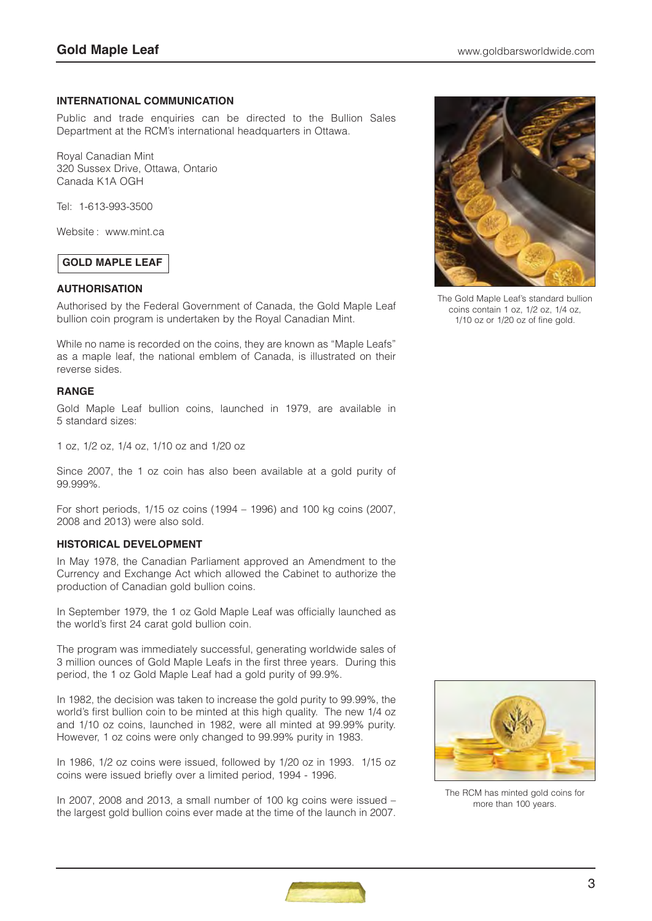#### **INTERNATIONAL COMMUNICATION**

Public and trade enquiries can be directed to the Bullion Sales Department at the RCM's international headquarters in Ottawa.

Royal Canadian Mint 320 Sussex Drive, Ottawa, Ontario Canada K1A OGH

Tel: 1-613-993-3500

Website : www.mint.ca

# **GOLD MAPLE LEAF**

#### **AUTHORISATION**

Authorised by the Federal Government of Canada, the Gold Maple Leaf bullion coin program is undertaken by the Royal Canadian Mint.

While no name is recorded on the coins, they are known as "Maple Leafs" as a maple leaf, the national emblem of Canada, is illustrated on their reverse sides.

#### **RANGE**

Gold Maple Leaf bullion coins, launched in 1979, are available in 5 standard sizes:

1 oz, 1/2 oz, 1/4 oz, 1/10 oz and 1/20 oz

Since 2007, the 1 oz coin has also been available at a gold purity of 99.999%.

For short periods, 1/15 oz coins (1994 – 1996) and 100 kg coins (2007, 2008 and 2013) were also sold.

#### **HISTORICAL DEVELOPMENT**

In May 1978, the Canadian Parliament approved an Amendment to the Currency and Exchange Act which allowed the Cabinet to authorize the production of Canadian gold bullion coins.

In September 1979, the 1 oz Gold Maple Leaf was officially launched as the world's first 24 carat gold bullion coin.

The program was immediately successful, generating worldwide sales of 3 million ounces of Gold Maple Leafs in the first three years. During this period, the 1 oz Gold Maple Leaf had a gold purity of 99.9%.

In 1982, the decision was taken to increase the gold purity to 99.99%, the world's first bullion coin to be minted at this high quality. The new 1/4 oz and 1/10 oz coins, launched in 1982, were all minted at 99.99% purity. However, 1 oz coins were only changed to 99.99% purity in 1983.

In 1986, 1/2 oz coins were issued, followed by 1/20 oz in 1993. 1/15 oz coins were issued briefly over a limited period, 1994 - 1996.

In 2007, 2008 and 2013, a small number of 100 kg coins were issued – the largest gold bullion coins ever made at the time of the launch in 2007.



The Gold Maple Leaf's standard bullion coins contain 1 oz, 1/2 oz, 1/4 oz, 1/10 oz or 1/20 oz of fine gold.



The RCM has minted gold coins for more than 100 years.

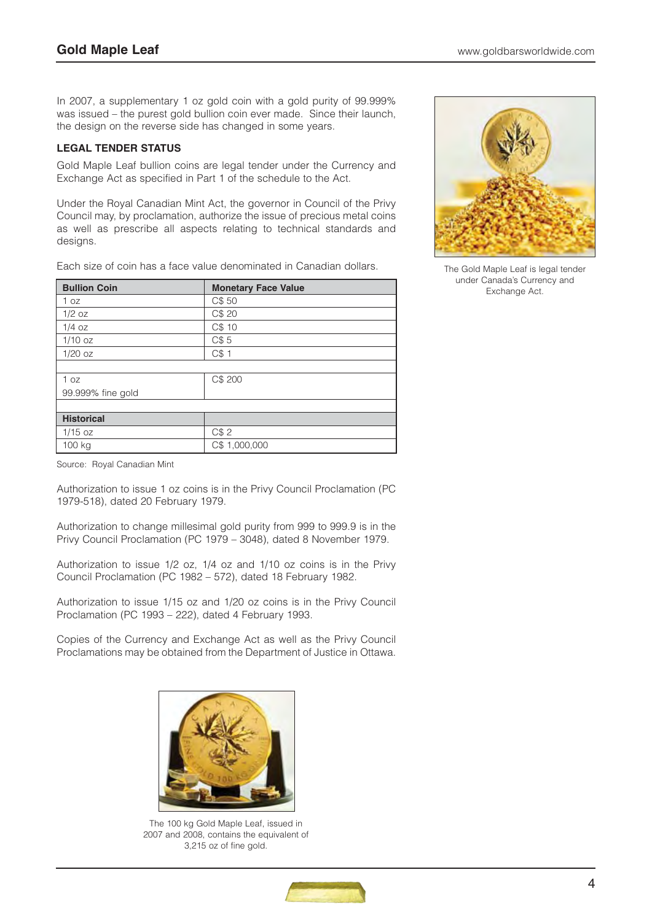In 2007, a supplementary 1 oz gold coin with a gold purity of 99.999% was issued – the purest gold bullion coin ever made. Since their launch, the design on the reverse side has changed in some years.

# **LEGAL TENDER STATUS**

Gold Maple Leaf bullion coins are legal tender under the Currency and Exchange Act as specified in Part 1 of the schedule to the Act.

Under the Royal Canadian Mint Act, the governor in Council of the Privy Council may, by proclamation, authorize the issue of precious metal coins as well as prescribe all aspects relating to technical standards and designs.

Each size of coin has a face value denominated in Canadian dollars.

| <b>Bullion Coin</b> | <b>Monetary Face Value</b> |  |  |  |  |
|---------------------|----------------------------|--|--|--|--|
| 1 oz                | C\$ 50                     |  |  |  |  |
| $1/2$ oz            | C\$ 20                     |  |  |  |  |
| $1/4$ oz            | C\$ 10                     |  |  |  |  |
| $1/10$ oz           | C\$5                       |  |  |  |  |
| $1/20$ oz           | C\$1                       |  |  |  |  |
|                     |                            |  |  |  |  |
| 1 oz                | C\$ 200                    |  |  |  |  |
| 99.999% fine gold   |                            |  |  |  |  |
|                     |                            |  |  |  |  |
| <b>Historical</b>   |                            |  |  |  |  |
| $1/15$ oz           | C\$2                       |  |  |  |  |
| 100 kg              | C\$ 1,000,000              |  |  |  |  |

Source: Royal Canadian Mint

Authorization to issue 1 oz coins is in the Privy Council Proclamation (PC 1979-518), dated 20 February 1979.

Authorization to change millesimal gold purity from 999 to 999.9 is in the Privy Council Proclamation (PC 1979 – 3048), dated 8 November 1979.

Authorization to issue 1/2 oz, 1/4 oz and 1/10 oz coins is in the Privy Council Proclamation (PC 1982 – 572), dated 18 February 1982.

Authorization to issue 1/15 oz and 1/20 oz coins is in the Privy Council Proclamation (PC 1993 – 222), dated 4 February 1993.

Copies of the Currency and Exchange Act as well as the Privy Council Proclamations may be obtained from the Department of Justice in Ottawa.



The 100 kg Gold Maple Leaf, issued in 2007 and 2008, contains the equivalent of 3,215 oz of fine gold.



The Gold Maple Leaf is legal tender under Canada's Currency and Exchange Act.

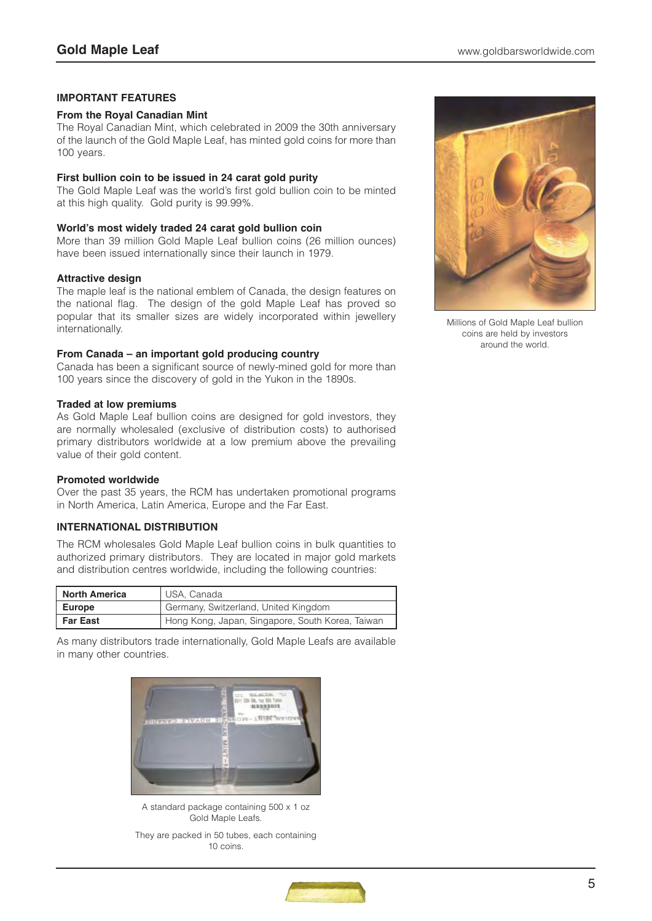#### **IMPORTANT FEATURES**

#### **From the Royal Canadian Mint**

The Royal Canadian Mint, which celebrated in 2009 the 30th anniversary of the launch of the Gold Maple Leaf, has minted gold coins for more than 100 years.

#### **First bullion coin to be issued in 24 carat gold purity**

The Gold Maple Leaf was the world's first gold bullion coin to be minted at this high quality. Gold purity is 99.99%.

#### **World's most widely traded 24 carat gold bullion coin**

More than 39 million Gold Maple Leaf bullion coins (26 million ounces) have been issued internationally since their launch in 1979.

#### **Attractive design**

The maple leaf is the national emblem of Canada, the design features on the national flag. The design of the gold Maple Leaf has proved so popular that its smaller sizes are widely incorporated within jewellery internationally.

#### **From Canada – an important gold producing country**

Canada has been a significant source of newly-mined gold for more than 100 years since the discovery of gold in the Yukon in the 1890s.

#### **Traded at low premiums**

As Gold Maple Leaf bullion coins are designed for gold investors, they are normally wholesaled (exclusive of distribution costs) to authorised primary distributors worldwide at a low premium above the prevailing value of their gold content.

#### **Promoted worldwide**

Over the past 35 years, the RCM has undertaken promotional programs in North America, Latin America, Europe and the Far East.

#### **INTERNATIONAL DISTRIBUTION**

The RCM wholesales Gold Maple Leaf bullion coins in bulk quantities to authorized primary distributors. They are located in major gold markets and distribution centres worldwide, including the following countries:

| <b>North America</b> | USA. Canada                                      |  |  |  |  |
|----------------------|--------------------------------------------------|--|--|--|--|
| <b>Europe</b>        | Germany, Switzerland, United Kingdom             |  |  |  |  |
| <b>Far East</b>      | Hong Kong, Japan, Singapore, South Korea, Taiwan |  |  |  |  |

As many distributors trade internationally, Gold Maple Leafs are available in many other countries.



A standard package containing 500 x 1 oz Gold Maple Leafs.

They are packed in 50 tubes, each containing 10 coins.



Millions of Gold Maple Leaf bullion coins are held by investors around the world.

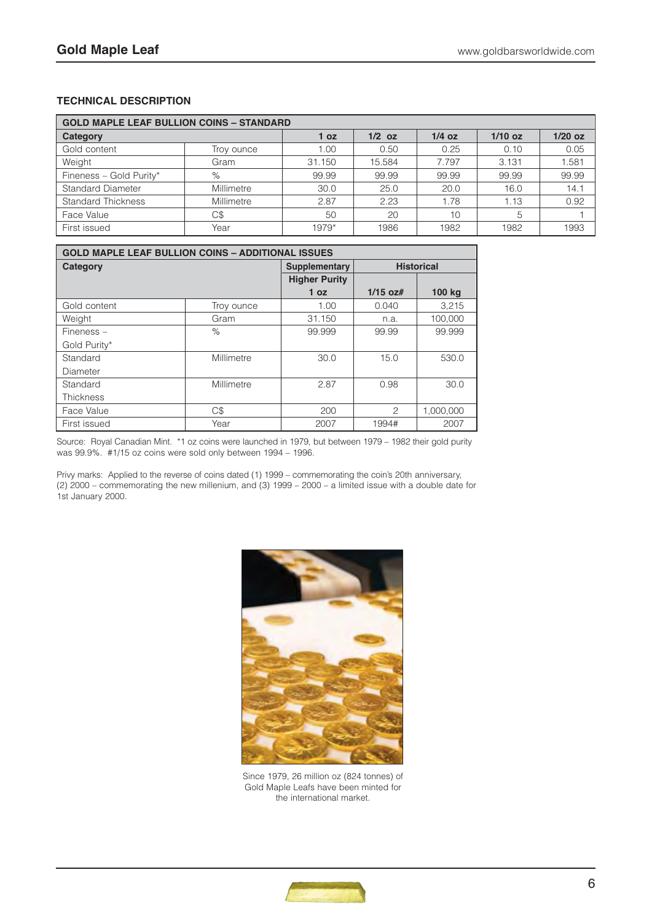# **TECHNICAL DESCRIPTION**

| <b>GOLD MAPLE LEAF BULLION COINS - STANDARD</b> |            |                 |          |          |           |           |  |  |
|-------------------------------------------------|------------|-----------------|----------|----------|-----------|-----------|--|--|
| Category                                        |            | 1 <sub>oz</sub> | $1/2$ oz | $1/4$ oz | $1/10$ oz | $1/20$ oz |  |  |
| Gold content                                    | Troy ounce |                 |          | 0.25     | 0.10      | 0.05      |  |  |
| Weight<br>Gram                                  |            | 31.150          | 15.584   | 7.797    | 3.131     | 1.581     |  |  |
| Fineness - Gold Purity*                         | $\%$       | 99.99           | 99.99    | 99.99    | 99.99     | 99.99     |  |  |
| <b>Standard Diameter</b>                        | Millimetre | 30.0            | 25.0     | 20.0     | 16.0      | 14.1      |  |  |
| <b>Standard Thickness</b>                       | Millimetre | 2.87            | 2.23     | 1.78     | i.13      | 0.92      |  |  |
| Face Value                                      | C\$        | 50              | 20       | 10       | 5         |           |  |  |
| First issued                                    | Year       | $1979*$         | 1986     | 1982     | 1982      | 1993      |  |  |

| <b>GOLD MAPLE LEAF BULLION COINS - ADDITIONAL ISSUES</b> |            |                      |                   |           |  |  |  |  |
|----------------------------------------------------------|------------|----------------------|-------------------|-----------|--|--|--|--|
| Category                                                 |            | <b>Supplementary</b> | <b>Historical</b> |           |  |  |  |  |
|                                                          |            | <b>Higher Purity</b> |                   |           |  |  |  |  |
|                                                          |            | 1 <sub>oz</sub>      | $1/15$ oz#        | 100 kg    |  |  |  |  |
| Gold content                                             | Troy ounce | 1.00                 | 0.040             | 3.215     |  |  |  |  |
| Weight                                                   | Gram       | 31.150               | n.a.              | 100.000   |  |  |  |  |
| $F$ ineness $-$                                          | $\%$       | 99.999               | 99.99             | 99.999    |  |  |  |  |
| Gold Purity*                                             |            |                      |                   |           |  |  |  |  |
| Standard                                                 | Millimetre | 30.0                 | 15.0              | 530.0     |  |  |  |  |
| Diameter                                                 |            |                      |                   |           |  |  |  |  |
| Standard                                                 | Millimetre | 2.87                 | 0.98              | 30.0      |  |  |  |  |
| <b>Thickness</b>                                         |            |                      |                   |           |  |  |  |  |
| Face Value                                               | C\$        | 200                  | 2                 | 1,000,000 |  |  |  |  |
| First issued                                             | Year       | 2007                 | 1994#             | 2007      |  |  |  |  |

Source: Royal Canadian Mint. \*1 oz coins were launched in 1979, but between 1979 – 1982 their gold purity was 99.9%. #1/15 oz coins were sold only between 1994 – 1996.

Privy marks: Applied to the reverse of coins dated (1) 1999 – commemorating the coin's 20th anniversary, (2) 2000 – commemorating the new millenium, and (3) 1999 – 2000 – a limited issue with a double date for 1st January 2000.



Since 1979, 26 million oz (824 tonnes) of Gold Maple Leafs have been minted for the international market.

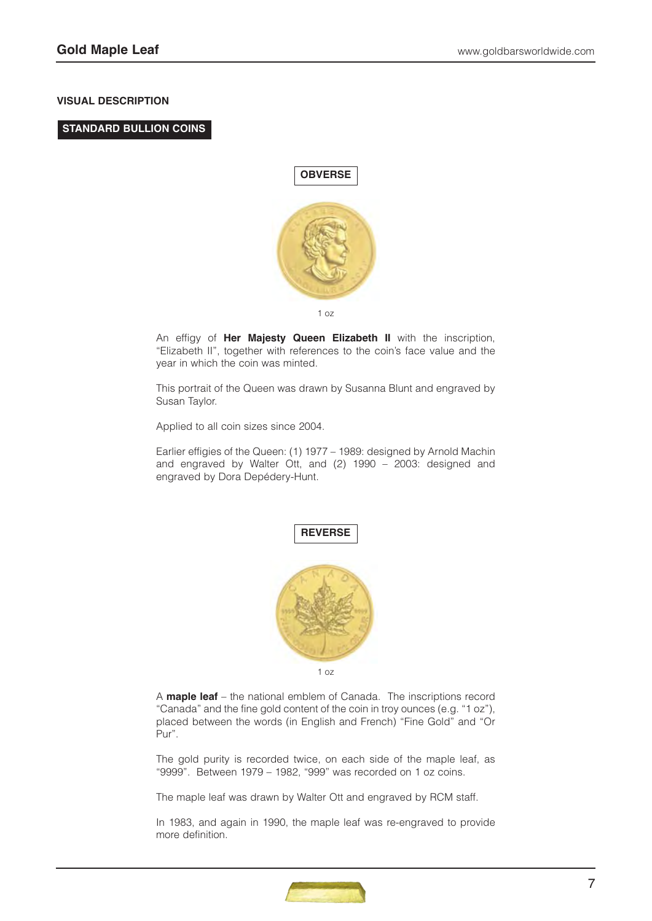#### **VISUAL DESCRIPTION**

### **STANDARD BULLION COINS**



An effigy of **Her Majesty Queen Elizabeth II** with the inscription, "Elizabeth II", together with references to the coin's face value and the year in which the coin was minted.

This portrait of the Queen was drawn by Susanna Blunt and engraved by Susan Taylor.

Applied to all coin sizes since 2004.

Earlier effigies of the Queen: (1) 1977 – 1989: designed by Arnold Machin and engraved by Walter Ott, and (2) 1990 – 2003: designed and engraved by Dora Depédery-Hunt.



1 oz

A **maple leaf** – the national emblem of Canada. The inscriptions record "Canada" and the fine gold content of the coin in troy ounces (e.g. "1 oz"), placed between the words (in English and French) "Fine Gold" and "Or Pur".

The gold purity is recorded twice, on each side of the maple leaf, as "9999". Between 1979 – 1982, "999" was recorded on 1 oz coins.

The maple leaf was drawn by Walter Ott and engraved by RCM staff.

In 1983, and again in 1990, the maple leaf was re-engraved to provide more definition.

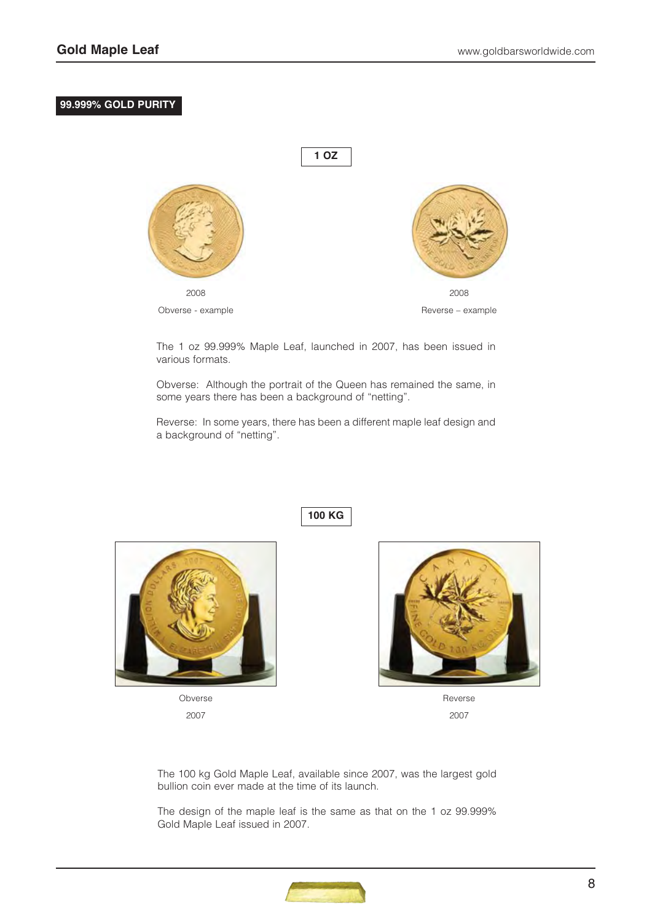# **99.999% GOLD PURITY**



The 1 oz 99.999% Maple Leaf, launched in 2007, has been issued in various formats.

Obverse: Although the portrait of the Queen has remained the same, in some years there has been a background of "netting".

Reverse: In some years, there has been a different maple leaf design and a background of "netting".

**100 KG** 



Obverse 2007

Reverse 2007

The 100 kg Gold Maple Leaf, available since 2007, was the largest gold bullion coin ever made at the time of its launch.

The design of the maple leaf is the same as that on the 1 oz 99.999% Gold Maple Leaf issued in 2007.

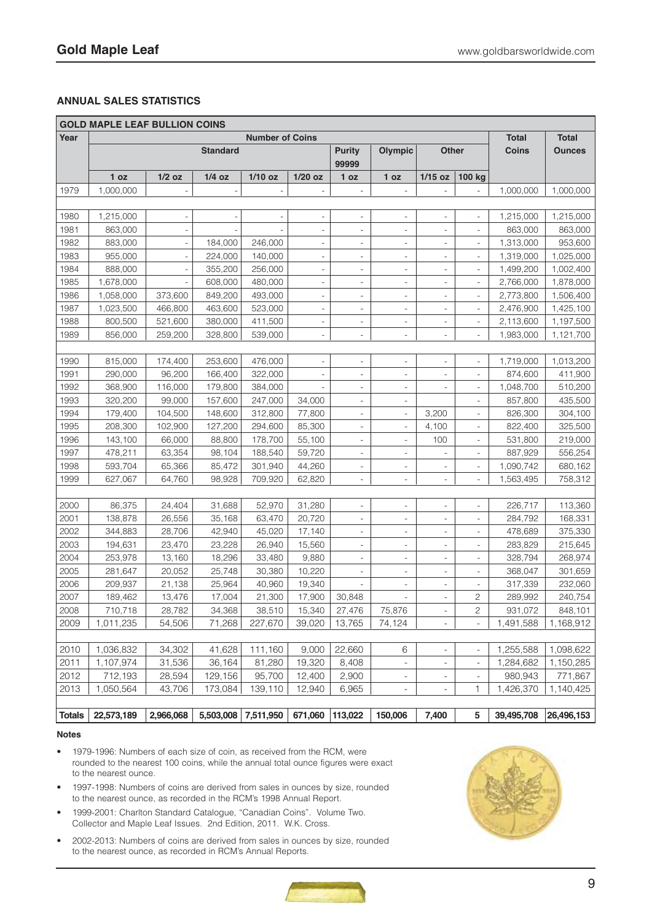# **ANNUAL SALES STATISTICS**

|               | <b>GOLD MAPLE LEAF BULLION COINS</b> |                                           |           |                |                          |                          |                          |                          |                              |                              |                               |
|---------------|--------------------------------------|-------------------------------------------|-----------|----------------|--------------------------|--------------------------|--------------------------|--------------------------|------------------------------|------------------------------|-------------------------------|
| Year          |                                      | <b>Number of Coins</b><br><b>Standard</b> |           |                |                          |                          | Olympic                  | <b>Other</b>             |                              | <b>Total</b><br><b>Coins</b> | <b>Total</b><br><b>Ounces</b> |
|               | 1 oz                                 | $1/2$ oz                                  | $1/4$ oz  | $1/10$ oz      | $1/20$ oz                | 99999<br>1 oz            | 1 oz                     | $1/15$ oz                | 100 kg                       |                              |                               |
| 1979          | 1,000,000                            |                                           |           |                | $\overline{\phantom{a}}$ |                          |                          |                          |                              | 1,000,000                    | 1,000,000                     |
|               |                                      |                                           |           |                |                          |                          |                          |                          |                              |                              |                               |
| 1980          | 1,215,000                            | $\qquad \qquad -$                         |           | $\overline{a}$ | $\qquad \qquad -$        | $\overline{\phantom{a}}$ | ÷,                       | $\overline{\phantom{a}}$ | $\overline{a}$               | 1,215,000                    | 1,215,000                     |
| 1981          | 863,000                              | $\blacksquare$                            |           |                | $\overline{\phantom{a}}$ | $\overline{\phantom{0}}$ | ÷,                       | $\overline{\phantom{a}}$ | $\overline{a}$               | 863,000                      | 863,000                       |
| 1982          | 883,000                              | $\overline{\phantom{a}}$                  | 184,000   | 246,000        | $\overline{\phantom{a}}$ | $\overline{\phantom{0}}$ | ÷,                       | $\overline{\phantom{a}}$ | $\overline{a}$               | 1,313,000                    | 953,600                       |
| 1983          | 955,000                              | $\overline{\phantom{a}}$                  | 224,000   | 140,000        | $\overline{\phantom{a}}$ | $\overline{\phantom{a}}$ | $\qquad \qquad -$        | $\overline{\phantom{a}}$ | $\overline{\phantom{m}}$     | 1,319,000                    | 1,025,000                     |
| 1984          | 888,000                              | $\blacksquare$                            | 355,200   | 256,000        | $\overline{\phantom{a}}$ | $\overline{\phantom{0}}$ | $\overline{a}$           | $\overline{\phantom{a}}$ | $\overline{\phantom{0}}$     | 1,499,200                    | 1,002,400                     |
| 1985          | 1,678,000                            |                                           | 608,000   | 480,000        | $\overline{\phantom{a}}$ | $\overline{a}$           | $\overline{\phantom{a}}$ | $\overline{\phantom{a}}$ | $\overline{\phantom{0}}$     | 2,766,000                    | 1,878,000                     |
| 1986          | 1,058,000                            | 373,600                                   | 849,200   | 493,000        | $\overline{\phantom{a}}$ | $\overline{\phantom{a}}$ | $\qquad \qquad -$        | $\overline{\phantom{a}}$ | $\overline{\phantom{0}}$     | 2,773,800                    | 1,506,400                     |
| 1987          | 1,023,500                            | 466,800                                   | 463,600   | 523,000        | $\overline{\phantom{a}}$ | $\overline{\phantom{m}}$ | $\overline{a}$           | $\overline{\phantom{a}}$ | $\overline{\phantom{0}}$     | 2,476,900                    | 1,425,100                     |
| 1988          | 800,500                              | 521,600                                   | 380,000   | 411,500        | $\overline{\phantom{a}}$ | $\overline{\phantom{m}}$ | $\qquad \qquad -$        | $\overline{\phantom{a}}$ | $\qquad \qquad -$            | 2,113,600                    | 1,197,500                     |
| 1989          | 856,000                              | 259,200                                   | 328,800   | 539,000        | $\overline{\phantom{a}}$ | $\overline{a}$           | $\overline{\phantom{a}}$ | $\overline{\phantom{a}}$ |                              | 1,983,000                    | 1,121,700                     |
|               |                                      |                                           |           |                |                          |                          |                          |                          |                              |                              |                               |
| 1990          | 815,000                              | 174,400                                   | 253,600   | 476,000        | $\overline{\phantom{a}}$ | $\overline{\phantom{a}}$ | $\overline{a}$           | $\overline{\phantom{a}}$ | $\overline{a}$               | 1,719,000                    | 1,013,200                     |
| 1991          | 290,000                              | 96,200                                    | 166,400   | 322,000        | $\qquad \qquad -$        | $\overline{a}$           | $\qquad \qquad -$        | $\overline{\phantom{a}}$ | $\overline{a}$               | 874,600                      | 411,900                       |
| 1992          | 368,900                              | 116,000                                   | 179,800   | 384,000        |                          | $\overline{\phantom{m}}$ | $\qquad \qquad -$        | $\overline{\phantom{a}}$ | $\overline{\phantom{0}}$     | 1,048,700                    | 510,200                       |
| 1993          | 320,200                              | 99,000                                    | 157,600   | 247,000        | 34,000                   | $\overline{\phantom{m}}$ | $\qquad \qquad -$        |                          | $\overline{\phantom{0}}$     | 857,800                      | 435,500                       |
| 1994          | 179,400                              | 104,500                                   | 148,600   | 312,800        | 77,800                   | $\overline{\phantom{m}}$ | $\overline{\phantom{a}}$ | 3,200                    | $\overline{\phantom{0}}$     | 826,300                      | 304,100                       |
| 1995          | 208,300                              | 102,900                                   | 127,200   | 294,600        | 85,300                   | $\overline{\phantom{m}}$ | $\overline{\phantom{a}}$ | 4,100                    | $\qquad \qquad -$            | 822,400                      | 325,500                       |
| 1996          | 143,100                              | 66,000                                    | 88,800    | 178,700        | 55,100                   | $\overline{\phantom{m}}$ | $\overline{\phantom{a}}$ | 100                      | $\overline{\phantom{0}}$     | 531,800                      | 219,000                       |
| 1997          | 478,211                              | 63,354                                    | 98,104    | 188,540        | 59,720                   | $\overline{\phantom{m}}$ | $\qquad \qquad -$        | $\overline{\phantom{a}}$ | $\overline{\phantom{0}}$     | 887,929                      | 556,254                       |
| 1998          | 593,704                              | 65,366                                    | 85,472    | 301,940        | 44,260                   | $\overline{\phantom{a}}$ | $\overline{\phantom{a}}$ | $\overline{\phantom{a}}$ | $\qquad \qquad \blacksquare$ | 1,090,742                    | 680,162                       |
| 1999          | 627,067                              | 64,760                                    | 98,928    | 709,920        | 62,820                   | $\overline{\phantom{m}}$ | $\overline{\phantom{a}}$ | $\overline{\phantom{a}}$ |                              | 1,563,495                    | 758,312                       |
|               |                                      |                                           |           |                |                          |                          |                          |                          |                              |                              |                               |
| 2000          | 86,375                               | 24,404                                    | 31,688    | 52,970         | 31,280                   | $\overline{\phantom{0}}$ | $\overline{a}$           | $\overline{\phantom{a}}$ | $\overline{a}$               | 226,717                      | 113,360                       |
| 2001          | 138,878                              | 26,556                                    | 35,168    | 63,470         | 20,720                   | $\overline{\phantom{m}}$ | $\qquad \qquad -$        | $\overline{\phantom{a}}$ | $\overline{\phantom{m}}$     | 284,792                      | 168,331                       |
| 2002          | 344,883                              | 28,706                                    | 42,940    | 45,020         | 17,140                   | $\overline{\phantom{a}}$ | $\qquad \qquad -$        | $\overline{\phantom{a}}$ | $\overline{\phantom{m}}$     | 478,689                      | 375,330                       |
| 2003          | 194,631                              | 23,470                                    | 23,228    | 26,940         | 15,560                   | $\overline{\phantom{a}}$ | $\overline{\phantom{a}}$ | $\overline{\phantom{a}}$ | $\overline{\phantom{m}}$     | 283,829                      | 215,645                       |
| 2004          | 253,978                              | 13,160                                    | 18,296    | 33,480         | 9,880                    | $\overline{\phantom{0}}$ | $\overline{\phantom{a}}$ | $\overline{\phantom{a}}$ | $\qquad \qquad -$            | 328,794                      | 268,974                       |
| 2005          | 281,647                              | 20,052                                    | 25,748    | 30,380         | 10,220                   | $\overline{\phantom{0}}$ | $\qquad \qquad -$        | $\overline{\phantom{a}}$ | $\overline{\phantom{m}}$     | 368,047                      | 301,659                       |
| 2006          | 209,937                              | 21,138                                    | 25,964    | 40,960         | 19,340                   | $\overline{\phantom{m}}$ | $\qquad \qquad -$        | $\overline{\phantom{a}}$ | $\overline{\phantom{m}}$     | 317,339                      | 232,060                       |
| 2007          | 189,462                              | 13,476                                    | 17,004    | 21,300         | 17,900                   | 30,848                   |                          |                          | 2                            | 289,992                      | 240,754                       |
| 2008          | 710,718                              | 28,782                                    | 34,368    | 38,510         | 15,340                   | 27,476                   | 75,876                   | $\overline{\phantom{a}}$ | 2                            | 931,072                      | 848,101                       |
| 2009          | 1,011,235                            | 54,506                                    | 71,268    | 227,670        | 39,020                   | 13,765                   | 74,124                   | $\overline{\phantom{a}}$ | $\overline{\phantom{a}}$     | 1,491,588                    | 1,168,912                     |
|               |                                      |                                           |           |                |                          |                          |                          |                          |                              |                              |                               |
| 2010          | 1,036,832                            | 34,302                                    | 41,628    | 111,160        | 9,000                    | 22,660                   | 6                        | $\overline{\phantom{a}}$ | $\qquad \qquad \blacksquare$ | 1,255,588                    | 1,098,622                     |
| 2011          | 1,107,974                            | 31,536                                    | 36,164    | 81,280         | 19,320                   | 8,408                    | $\overline{\phantom{a}}$ | $\blacksquare$           | $\blacksquare$               | 1,284,682                    | 1,150,285                     |
| 2012          | 712,193                              | 28,594                                    | 129,156   | 95,700         | 12,400                   | 2,900                    | $\overline{\phantom{a}}$ | $\overline{\phantom{a}}$ | $\overline{\phantom{a}}$     | 980,943                      | 771,867                       |
| 2013          | 1,050,564                            | 43,706                                    | 173,084   | 139,110        | 12,940                   | 6,965                    | $\overline{\phantom{a}}$ | $\overline{\phantom{a}}$ | 1                            | 1,426,370                    | 1,140,425                     |
|               |                                      |                                           |           |                |                          |                          |                          |                          |                              |                              |                               |
| <b>Totals</b> | 22,573,189                           | 2,966,068                                 | 5,503,008 | 7,511,950      | 671,060                  | 113,022                  | 150,006                  | 7,400                    | 5                            | 39,495,708                   | 26,496,153                    |

#### **Notes**

- 1979-1996: Numbers of each size of coin, as received from the RCM, were rounded to the nearest 100 coins, while the annual total ounce figures were exact to the nearest ounce.
- 1997-1998: Numbers of coins are derived from sales in ounces by size, rounded to the nearest ounce, as recorded in the RCM's 1998 Annual Report.
- 1999-2001: Charlton Standard Catalogue, "Canadian Coins". Volume Two. Collector and Maple Leaf Issues. 2nd Edition, 2011. W.K. Cross.
- 2002-2013: Numbers of coins are derived from sales in ounces by size, rounded to the nearest ounce, as recorded in RCM's Annual Reports.